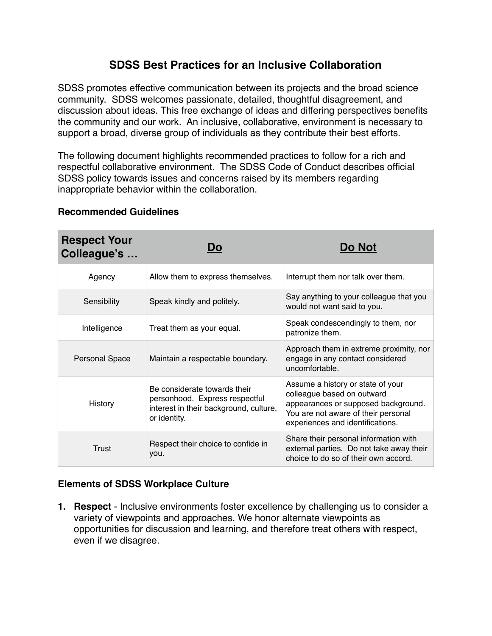# **SDSS Best Practices for an Inclusive Collaboration**

SDSS promotes effective communication between its projects and the broad science community. SDSS welcomes passionate, detailed, thoughtful disagreement, and discussion about ideas. This free exchange of ideas and differing perspectives benefits the community and our work. An inclusive, collaborative, environment is necessary to support a broad, diverse group of individuals as they contribute their best efforts.

The following document highlights recommended practices to follow for a rich and respectful collaborative environment. The [SDSS Code of Conduct](https://trac.sdss.org/wiki/CoCo/CodeofConduct) describes official SDSS policy towards issues and concerns raised by its members regarding inappropriate behavior within the collaboration.

| <b>Respect Your</b><br>Colleague's | DO                                                                                                                       | <b>Do Not</b>                                                                                                                                                                     |
|------------------------------------|--------------------------------------------------------------------------------------------------------------------------|-----------------------------------------------------------------------------------------------------------------------------------------------------------------------------------|
| Agency                             | Allow them to express themselves.                                                                                        | Interrupt them nor talk over them.                                                                                                                                                |
| Sensibility                        | Speak kindly and politely.                                                                                               | Say anything to your colleague that you<br>would not want said to you.                                                                                                            |
| Intelligence                       | Treat them as your equal.                                                                                                | Speak condescendingly to them, nor<br>patronize them.                                                                                                                             |
| Personal Space                     | Maintain a respectable boundary.                                                                                         | Approach them in extreme proximity, nor<br>engage in any contact considered<br>uncomfortable.                                                                                     |
| History                            | Be considerate towards their<br>personhood. Express respectful<br>interest in their background, culture,<br>or identity. | Assume a history or state of your<br>colleague based on outward<br>appearances or supposed background.<br>You are not aware of their personal<br>experiences and identifications. |
| Trust                              | Respect their choice to confide in<br>you.                                                                               | Share their personal information with<br>external parties. Do not take away their<br>choice to do so of their own accord.                                                         |

### **Recommended Guidelines**

## **Elements of SDSS Workplace Culture**

**1. Respect** - Inclusive environments foster excellence by challenging us to consider a variety of viewpoints and approaches. We honor alternate viewpoints as opportunities for discussion and learning, and therefore treat others with respect, even if we disagree.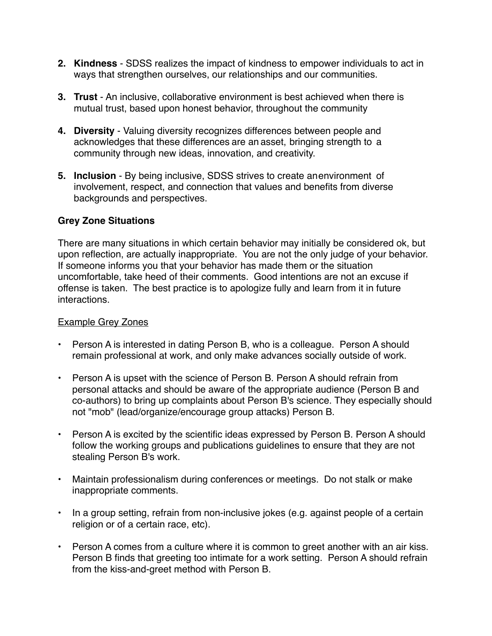- **2. Kindness**  SDSS realizes the impact of kindness to empower individuals to act in ways that strengthen ourselves, our relationships and our communities.
- **3. Trust** An inclusive, collaborative environment is best achieved when there is mutual trust, based upon honest behavior, throughout the community
- **4. Diversity** Valuing diversity recognizes differences between people and acknowledges that these differences are an asset, bringing strength to a community through new ideas, innovation, and creativity.
- **5. Inclusion** By being inclusive, SDSS strives to create anenvironment of involvement, respect, and connection that values and benefits from diverse backgrounds and perspectives.

#### **Grey Zone Situations**

There are many situations in which certain behavior may initially be considered ok, but upon reflection, are actually inappropriate. You are not the only judge of your behavior. If someone informs you that your behavior has made them or the situation uncomfortable, take heed of their comments. Good intentions are not an excuse if offense is taken. The best practice is to apologize fully and learn from it in future interactions.

#### Example Grey Zones

- Person A is interested in dating Person B, who is a colleague. Person A should remain professional at work, and only make advances socially outside of work.
- Person A is upset with the science of Person B. Person A should refrain from personal attacks and should be aware of the appropriate audience (Person B and co-authors) to bring up complaints about Person B's science. They especially should not "mob" (lead/organize/encourage group attacks) Person B.
- Person A is excited by the scientific ideas expressed by Person B. Person A should follow the working groups and publications guidelines to ensure that they are not stealing Person B's work.
- Maintain professionalism during conferences or meetings. Do not stalk or make inappropriate comments.
- In a group setting, refrain from non-inclusive jokes (e.g. against people of a certain religion or of a certain race, etc).
- Person A comes from a culture where it is common to greet another with an air kiss. Person B finds that greeting too intimate for a work setting. Person A should refrain from the kiss-and-greet method with Person B.